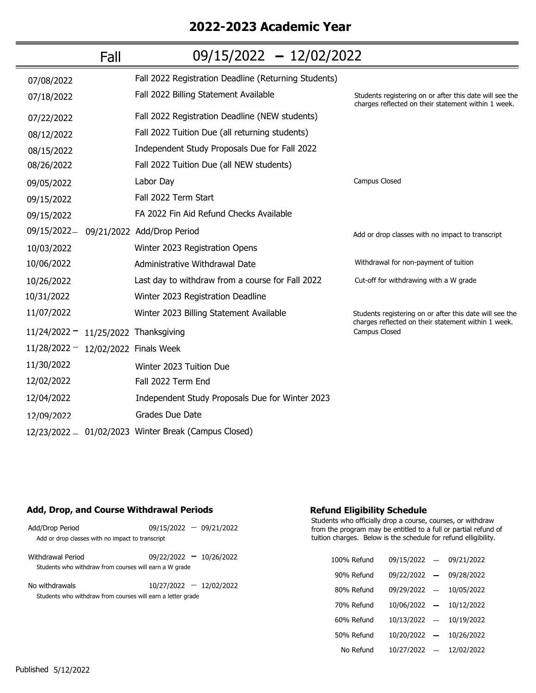# **2022-2023 Academic Year**

|                                        | Fall | $09/15/2022 - 12/02/2022$                            |                                                                                                                |
|----------------------------------------|------|------------------------------------------------------|----------------------------------------------------------------------------------------------------------------|
| 07/08/2022                             |      | Fall 2022 Registration Deadline (Returning Students) |                                                                                                                |
| 07/18/2022                             |      | Fall 2022 Billing Statement Available                | Students registering on or after this date will see the<br>charges reflected on their statement within 1 week. |
| 07/22/2022                             |      | Fall 2022 Registration Deadline (NEW students)       |                                                                                                                |
| 08/12/2022                             |      | Fall 2022 Tuition Due (all returning students)       |                                                                                                                |
| 08/15/2022                             |      | Independent Study Proposals Due for Fall 2022        |                                                                                                                |
| 08/26/2022                             |      | Fall 2022 Tuition Due (all NEW students)             |                                                                                                                |
| 09/05/2022                             |      | Labor Day                                            | Campus Closed                                                                                                  |
| 09/15/2022                             |      | Fall 2022 Term Start                                 |                                                                                                                |
| 09/15/2022                             |      | FA 2022 Fin Aid Refund Checks Available              |                                                                                                                |
| 09/15/2022-                            |      | 09/21/2022 Add/Drop Period                           | Add or drop classes with no impact to transcript                                                               |
| 10/03/2022                             |      | Winter 2023 Registration Opens                       |                                                                                                                |
| 10/06/2022                             |      | Administrative Withdrawal Date                       | Withdrawal for non-payment of tuition                                                                          |
| 10/26/2022                             |      | Last day to withdraw from a course for Fall 2022     | Cut-off for withdrawing with a W grade                                                                         |
| 10/31/2022                             |      | Winter 2023 Registration Deadline                    |                                                                                                                |
| 11/07/2022                             |      | Winter 2023 Billing Statement Available              | Students registering on or after this date will see the<br>charges reflected on their statement within 1 week. |
| $11/24/2022 - 11/25/2022$ Thanksgiving |      |                                                      | Campus Closed                                                                                                  |
| $11/28/2022 - 12/02/2022$ Finals Week  |      |                                                      |                                                                                                                |
| 11/30/2022                             |      | Winter 2023 Tuition Due                              |                                                                                                                |
| 12/02/2022                             |      | Fall 2022 Term End                                   |                                                                                                                |
| 12/04/2022                             |      | Independent Study Proposals Due for Winter 2023      |                                                                                                                |
| 12/09/2022                             |      | Grades Due Date                                      |                                                                                                                |
|                                        |      | 12/23/2022 - 01/02/2023 Winter Break (Campus Closed) |                                                                                                                |

### **Add, Drop, and Course Withdrawal Periods**

| Add/Drop Period                                             | $09/15/2022 - 09/21/2022$ |
|-------------------------------------------------------------|---------------------------|
| Add or drop classes with no impact to transcript            |                           |
|                                                             |                           |
| Withdrawal Period                                           | $09/22/2022 - 10/26/2022$ |
| Students who withdraw from courses will earn a W grade      |                           |
| No withdrawals                                              | $10/27/2022 - 12/02/2022$ |
| Students who withdraw from courses will earn a letter grade |                           |
|                                                             |                           |
|                                                             |                           |
|                                                             |                           |

## **Refund Eligibility Schedule**

| 100% Refund | 09/15/2022 | $\qquad \qquad -$        | 09/21/2022 |
|-------------|------------|--------------------------|------------|
| 90% Refund  | 09/22/2022 | $\overline{\phantom{0}}$ | 09/28/2022 |
| 80% Refund  | 09/29/2022 | $\qquad \qquad -$        | 10/05/2022 |
| 70% Refund  | 10/06/2022 | $\qquad \qquad -$        | 10/12/2022 |
| 60% Refund  | 10/13/2022 | $\qquad \qquad -$        | 10/19/2022 |
| 50% Refund  | 10/20/2022 |                          | 10/26/2022 |
| No Refund   | 10/27/2022 |                          | 12/02/2022 |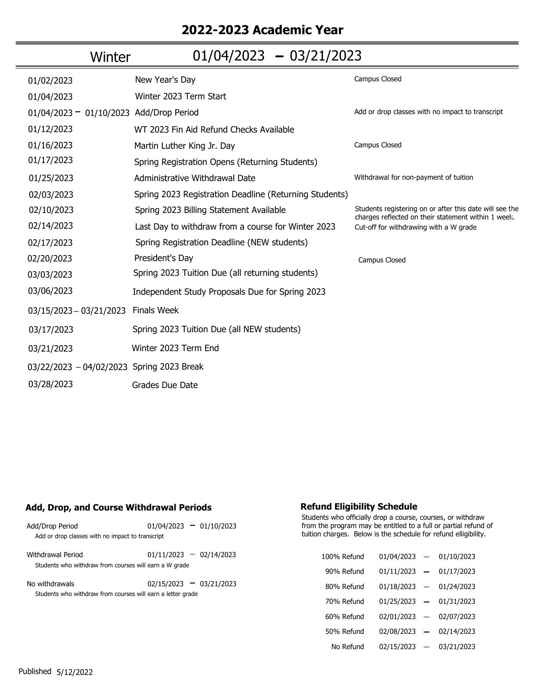## **2022-2023 Academic Year**

| Winter                                    | $01/04/2023 - 03/21/2023$                              |                                                                                                                |
|-------------------------------------------|--------------------------------------------------------|----------------------------------------------------------------------------------------------------------------|
| 01/02/2023                                | New Year's Day                                         | Campus Closed                                                                                                  |
| 01/04/2023                                | Winter 2023 Term Start                                 |                                                                                                                |
| 01/04/2023 - 01/10/2023 Add/Drop Period   |                                                        | Add or drop classes with no impact to transcript                                                               |
| 01/12/2023                                | WT 2023 Fin Aid Refund Checks Available                |                                                                                                                |
| 01/16/2023                                | Martin Luther King Jr. Day                             | Campus Closed                                                                                                  |
| 01/17/2023                                | Spring Registration Opens (Returning Students)         |                                                                                                                |
| 01/25/2023                                | Administrative Withdrawal Date                         | Withdrawal for non-payment of tuition                                                                          |
| 02/03/2023                                | Spring 2023 Registration Deadline (Returning Students) |                                                                                                                |
| 02/10/2023                                | Spring 2023 Billing Statement Available                | Students registering on or after this date will see the<br>charges reflected on their statement within 1 week. |
| 02/14/2023                                | Last Day to withdraw from a course for Winter 2023     | Cut-off for withdrawing with a W grade                                                                         |
| 02/17/2023                                | Spring Registration Deadline (NEW students)            |                                                                                                                |
| 02/20/2023                                | President's Day                                        | Campus Closed                                                                                                  |
| 03/03/2023                                | Spring 2023 Tuition Due (all returning students)       |                                                                                                                |
| 03/06/2023                                | Independent Study Proposals Due for Spring 2023        |                                                                                                                |
| 03/15/2023 - 03/21/2023                   | <b>Finals Week</b>                                     |                                                                                                                |
| 03/17/2023                                | Spring 2023 Tuition Due (all NEW students)             |                                                                                                                |
| 03/21/2023                                | Winter 2023 Term End                                   |                                                                                                                |
| 03/22/2023 - 04/02/2023 Spring 2023 Break |                                                        |                                                                                                                |
| 03/28/2023                                | Grades Due Date                                        |                                                                                                                |

### **Add, Drop, and Course Withdrawal Periods**

| Add/Drop Period                                             | $01/04/2023 - 01/10/2023$ |
|-------------------------------------------------------------|---------------------------|
| Add or drop classes with no impact to transcript            |                           |
|                                                             |                           |
| Withdrawal Period                                           | $01/11/2023 - 02/14/2023$ |
| Students who withdraw from courses will earn a W grade      |                           |
|                                                             |                           |
| No withdrawals                                              | $02/15/2023 - 03/21/2023$ |
| Students who withdraw from courses will earn a letter grade |                           |
|                                                             |                           |
|                                                             |                           |
|                                                             |                           |
|                                                             |                           |

### **Refund Eligibility Schedule**

| 100% Refund | 01/04/2023 | $\overline{\phantom{0}}$ | 01/10/2023 |
|-------------|------------|--------------------------|------------|
| 90% Refund  | 01/11/2023 | $\qquad \qquad \qquad$   | 01/17/2023 |
| 80% Refund  | 01/18/2023 | $\equiv$                 | 01/24/2023 |
| 70% Refund  | 01/25/2023 | $\overline{\phantom{0}}$ | 01/31/2023 |
| 60% Refund  | 02/01/2023 | $\qquad \qquad -$        | 02/07/2023 |
| 50% Refund  | 02/08/2023 | $\overline{\phantom{0}}$ | 02/14/2023 |
| No Refund   | 02/15/2023 |                          | 03/21/2023 |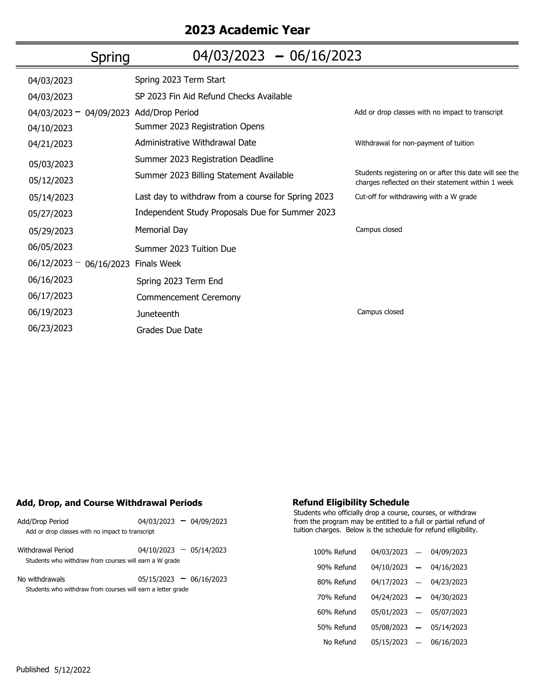## **2023 Academic Year**

| Spring                    | $04/03/2023 - 06/16/2023$                          |                                                                                                               |
|---------------------------|----------------------------------------------------|---------------------------------------------------------------------------------------------------------------|
| 04/03/2023                | Spring 2023 Term Start                             |                                                                                                               |
| 04/03/2023                | SP 2023 Fin Aid Refund Checks Available            |                                                                                                               |
| $04/03/2023 - 04/09/2023$ | Add/Drop Period                                    | Add or drop classes with no impact to transcript                                                              |
| 04/10/2023                | Summer 2023 Registration Opens                     |                                                                                                               |
| 04/21/2023                | Administrative Withdrawal Date                     | Withdrawal for non-payment of tuition                                                                         |
| 05/03/2023                | Summer 2023 Registration Deadline                  |                                                                                                               |
| 05/12/2023                | Summer 2023 Billing Statement Available            | Students registering on or after this date will see the<br>charges reflected on their statement within 1 week |
| 05/14/2023                | Last day to withdraw from a course for Spring 2023 | Cut-off for withdrawing with a W grade                                                                        |
| 05/27/2023                | Independent Study Proposals Due for Summer 2023    |                                                                                                               |
| 05/29/2023                | <b>Memorial Day</b>                                | Campus closed                                                                                                 |
| 06/05/2023                | Summer 2023 Tuition Due                            |                                                                                                               |
| $06/12/2023 - 06/16/2023$ | <b>Finals Week</b>                                 |                                                                                                               |
| 06/16/2023                | Spring 2023 Term End                               |                                                                                                               |
| 06/17/2023                | Commencement Ceremony                              |                                                                                                               |
| 06/19/2023                | Juneteenth                                         | Campus closed                                                                                                 |
| 06/23/2023                | Grades Due Date                                    |                                                                                                               |
|                           |                                                    |                                                                                                               |

## **Add, Drop, and Course Withdrawal Periods**

| Add/Drop Period<br>Add or drop classes with no impact to transcript           | $04/03/2023 - 04/09/2023$ |
|-------------------------------------------------------------------------------|---------------------------|
| Withdrawal Period<br>Students who withdraw from courses will earn a W grade   | $04/10/2023 - 05/14/2023$ |
| No withdrawals<br>Students who withdraw from courses will earn a letter grade | $05/15/2023 - 06/16/2023$ |

## **Refund Eligibility Schedule**

| 100% Refund | 04/03/2023 | $\overline{\phantom{0}}$ | 04/09/2023 |
|-------------|------------|--------------------------|------------|
| 90% Refund  | 04/10/2023 | $\overline{\phantom{0}}$ | 04/16/2023 |
| 80% Refund  | 04/17/2023 | —                        | 04/23/2023 |
| 70% Refund  | 04/24/2023 | $\overline{\phantom{0}}$ | 04/30/2023 |
| 60% Refund  | 05/01/2023 | $\overline{\phantom{0}}$ | 05/07/2023 |
| 50% Refund  | 05/08/2023 |                          | 05/14/2023 |
| No Refund   | 05/15/2023 |                          | 06/16/2023 |